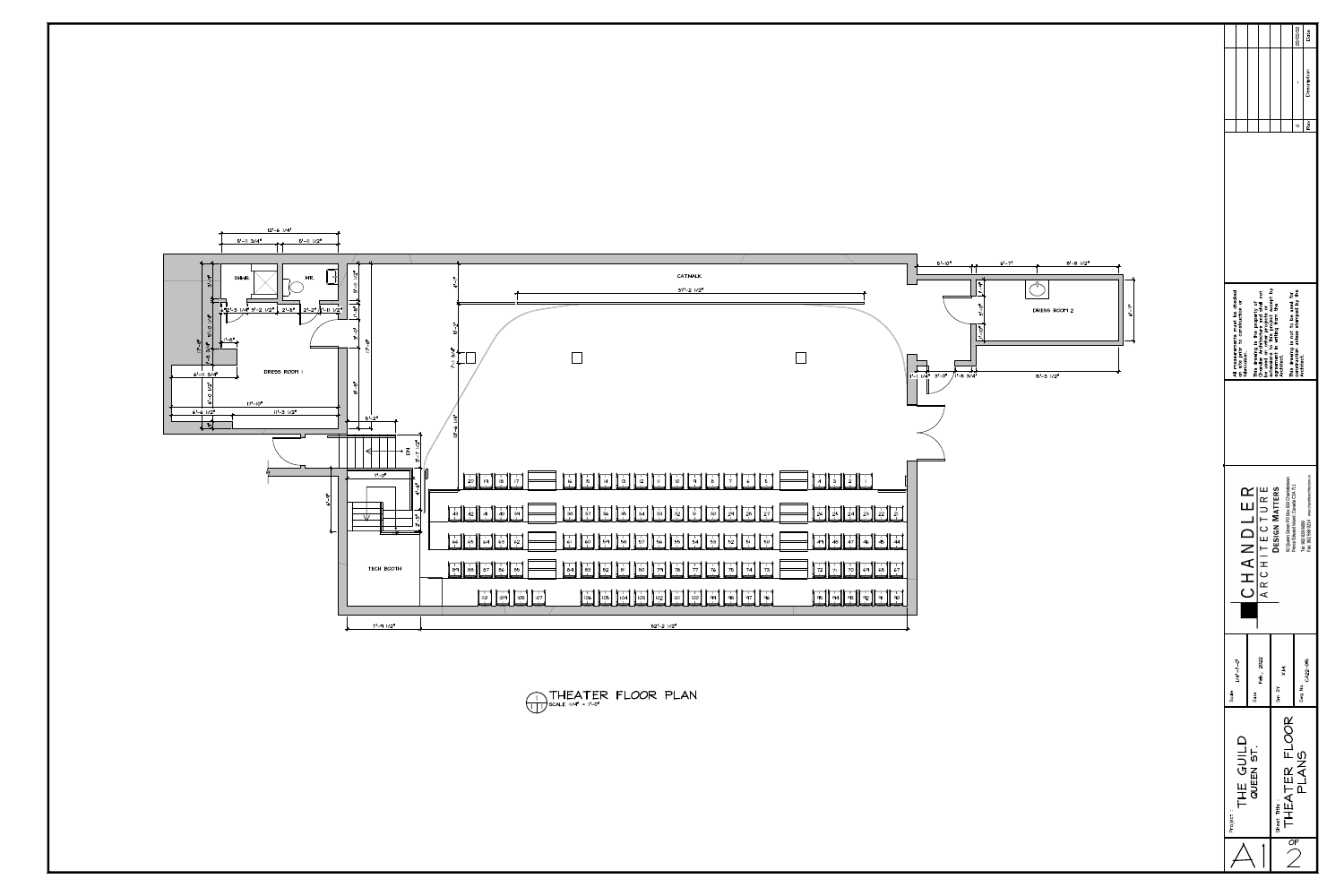$\frac{1}{\sqrt{1 + \pi}}$ SCALE :1/4" = 1'-0" <sup>1</sup> <sup>1</sup>



|                                            | CATWALK                                                                                                                                                                                                                                                                                                                                                                                                         |  |
|--------------------------------------------|-----------------------------------------------------------------------------------------------------------------------------------------------------------------------------------------------------------------------------------------------------------------------------------------------------------------------------------------------------------------------------------------------------------------|--|
| $\tilde{\mathbf{u}}$<br>$\bar{\mathbf{r}}$ | $37' - 2$ $1/2''$                                                                                                                                                                                                                                                                                                                                                                                               |  |
|                                            |                                                                                                                                                                                                                                                                                                                                                                                                                 |  |
| $\bar{N}$                                  |                                                                                                                                                                                                                                                                                                                                                                                                                 |  |
| 이                                          |                                                                                                                                                                                                                                                                                                                                                                                                                 |  |
|                                            |                                                                                                                                                                                                                                                                                                                                                                                                                 |  |
|                                            | $ I - I \vee I $                                                                                                                                                                                                                                                                                                                                                                                                |  |
|                                            |                                                                                                                                                                                                                                                                                                                                                                                                                 |  |
|                                            |                                                                                                                                                                                                                                                                                                                                                                                                                 |  |
| $\bar{\zeta}$                              |                                                                                                                                                                                                                                                                                                                                                                                                                 |  |
| ٩<br>$\overline{\omega}$                   |                                                                                                                                                                                                                                                                                                                                                                                                                 |  |
|                                            |                                                                                                                                                                                                                                                                                                                                                                                                                 |  |
|                                            |                                                                                                                                                                                                                                                                                                                                                                                                                 |  |
| $\;\;\;\;$                                 | $\frac{20}{1}$<br>13<br>$\delta$<br>18<br>$\frac{15}{1}$<br>$10\,$<br>5 <sub>1</sub><br>$\overline{3}$<br>19<br>17<br>12<br>16<br>9<br>$\overline{7}$<br>$\overline{a}$<br>6<br>$\mathbf{11}$<br>4                                                                                                                                                                                                              |  |
|                                            |                                                                                                                                                                                                                                                                                                                                                                                                                 |  |
| .<br>43                                    | $\frac{1}{2}$ 9<br>$\frac{1}{38}$<br>$\frac{1}{27}$<br>$\frac{1}{3}$ O<br>26<br>$\frac{1}{37}$<br>$\overline{35}$<br>32<br>28<br>$\overline{34}$<br>$\frac{2}{3}$<br>$\frac{1}{3}3$<br>$\overline{3}$<br>$\frac{39}{1}$<br>36<br>$\overline{22}$<br>$\overline{21}$<br>⊣ 25 ™<br>42<br>41<br>40<br>24                                                                                                           |  |
| 66                                         | $\frac{1}{52}$<br>$\begin{array}{c} 1 \\ 62 \end{array}$<br>$\begin{array}{c} 1 \\ 50 \\ 1 \end{array}$<br>60<br>$\frac{1}{57}$<br>$\frac{1}{55}$<br>$\begin{array}{c} 1 \\ 0 \\ 0 \\ 1 \end{array}$<br>$\frac{1}{53}$<br>$\overline{59}$<br>$\overline{5}$<br>56<br>$\overline{54}$<br>58<br>65<br>64<br>61<br>48   <br>47<br>46<br>45<br>49<br>44                                                             |  |
|                                            |                                                                                                                                                                                                                                                                                                                                                                                                                 |  |
| 89.                                        | $\mathbf{L}$<br>$\begin{bmatrix} 1 \\ 85 \\ 1 \end{bmatrix}$<br>$\overline{84}$<br>$3^{1}$<br>$\frac{1}{75}$<br>$\frac{1}{73}$<br>$\begin{array}{c} \ \ \ \ \beta\ \beta\  \ \ \ \ \end{array}$<br>$\overline{80}$<br>78<br>76<br>$\overline{7}4$<br>69<br>87<br>79<br>ဗံဗ<br>82<br>81<br>77<br>72<br>$68$    67<br>70<br>71                                                                                    |  |
|                                            | $\sqrt{107}$<br>$\frac{1}{98}$<br>$\frac{1}{90}$<br>$\frac{1}{10}$<br>$\frac{1}{106}$<br>$\frac{1}{96}$<br>$\begin{bmatrix} 1 \\ 108 \end{bmatrix}$<br>$\frac{1}{103}$<br>$\frac{1}{ O }$<br>$\frac{1}{99}$<br>$ $ 109<br>$\Big  \begin{array}{c} 1 \\ 100 \end{array}$<br>$\frac{1}{97}$<br>$\parallel$ 105<br>$\frac{1}{93}$<br>$\frac{1}{92}$<br>$q_4$   <br>$\overline{104}$<br>102<br>95<br>q <sub>l</sub> |  |
|                                            |                                                                                                                                                                                                                                                                                                                                                                                                                 |  |
|                                            | $52^{\circ} - 2$ $1/2^{\circ}$                                                                                                                                                                                                                                                                                                                                                                                  |  |



|                                                                                      |                                                                        |                                                                                                                     | 00/00/00<br>١<br>$\circ$                                                               | Date<br>Description<br>Rev                    |
|--------------------------------------------------------------------------------------|------------------------------------------------------------------------|---------------------------------------------------------------------------------------------------------------------|----------------------------------------------------------------------------------------|-----------------------------------------------|
|                                                                                      |                                                                        |                                                                                                                     |                                                                                        |                                               |
| All measurements must be checked<br>on site prior to construction or<br>fabrication. | This drawing is the property of<br>Chandler Architecture and shall not | be used on other projects or<br>extensions to this project except by<br>agreement in writing from the<br>Architect. | This drawing is not to be used for<br>construction unless stamped by the<br>Architect. |                                               |
| CHANDLER                                                                             | A R C H I T E C T U R E                                                | 92 Queen Street PO Box 550 Charlottetown<br>DESIGN MATTERS                                                          | Prince Edward Island, Canada C1A 7L1<br>Tel: 902 628 6658                              | Fax: 902 566 9214 www.chandlerarchitecture.ca |
| $ 74" =  1 - 0"$<br>Scale                                                            | Feb., 2022<br>Date                                                     | メン<br>Drn BY                                                                                                        | CA22-015<br>Dwg No.                                                                    |                                               |
| Project:                                                                             | THE GUILD<br>QUEEN ST.                                                 |                                                                                                                     | THEATER FLOOR<br>PLANS                                                                 |                                               |
|                                                                                      |                                                                        |                                                                                                                     | $\overline{OF}$                                                                        |                                               |